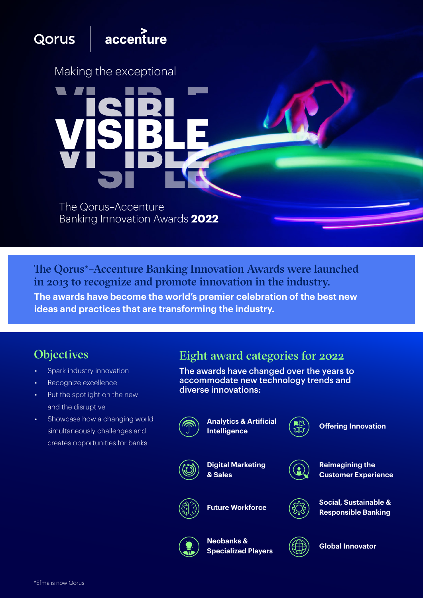# Qorus

# accenture

Making the exceptional

The Qorus–Accenture Banking Innovation Awards **2022**

**VISIBLE**

**The awards have become the world's premier celebration of the best new ideas and practices that are transforming the industry.**  The Qorus\*–Accenture Banking Innovation Awards were launched in 2013 to recognize and promote innovation in the industry.

- Spark industry innovation
- Recognize excellence
- Put the spotlight on the new and the disruptive
- Showcase how a changing world simultaneously challenges and creates opportunities for banks

# Objectives Eight award categories for 2022

The awards have changed over the years to accommodate new technology trends and diverse innovations:



**Analytics & Artificial Intelligence**



**Digital Marketing & Sales**



**Offering Innovation**



**CONTRACTOR DE CONTRACTO** 

**Reimagining the Customer Experience**



**Future Workforce**

**Social, Sustainable & Responsible Banking**



**Neobanks & Specialized Players**



**Global Innovator**